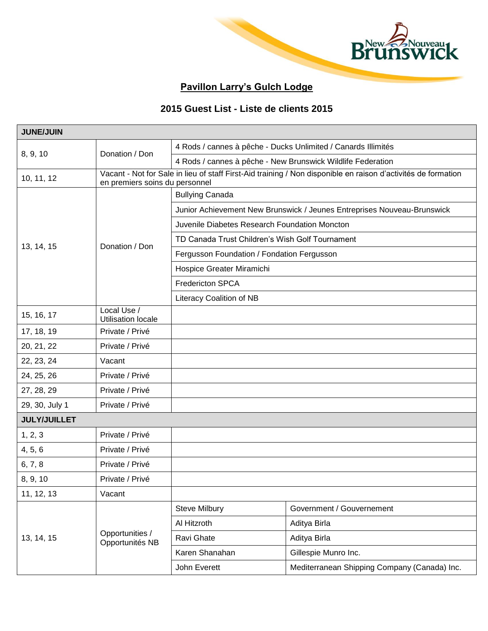

## **Pavillon Larry's Gulch Lodge**

## **2015 Guest List - Liste de clients 2015**

| <b>JUNE/JUIN</b>    |                                          |                                                                                                                                                 |                                                               |  |
|---------------------|------------------------------------------|-------------------------------------------------------------------------------------------------------------------------------------------------|---------------------------------------------------------------|--|
| 8, 9, 10            |                                          |                                                                                                                                                 | 4 Rods / cannes à pêche - Ducks Unlimited / Canards Illimités |  |
|                     | Donation / Don                           |                                                                                                                                                 | 4 Rods / cannes à pêche - New Brunswick Wildlife Federation   |  |
| 10, 11, 12          |                                          | Vacant - Not for Sale in lieu of staff First-Aid training / Non disponible en raison d'activités de formation<br>en premiers soins du personnel |                                                               |  |
| 13, 14, 15          |                                          | <b>Bullying Canada</b>                                                                                                                          |                                                               |  |
|                     |                                          | Junior Achievement New Brunswick / Jeunes Entreprises Nouveau-Brunswick                                                                         |                                                               |  |
|                     | Donation / Don                           | Juvenile Diabetes Research Foundation Moncton                                                                                                   |                                                               |  |
|                     |                                          | TD Canada Trust Children's Wish Golf Tournament                                                                                                 |                                                               |  |
|                     |                                          | Fergusson Foundation / Fondation Fergusson                                                                                                      |                                                               |  |
|                     |                                          | Hospice Greater Miramichi                                                                                                                       |                                                               |  |
|                     |                                          | <b>Fredericton SPCA</b>                                                                                                                         |                                                               |  |
|                     |                                          | Literacy Coalition of NB                                                                                                                        |                                                               |  |
| 15, 16, 17          | Local Use /<br><b>Utilisation locale</b> |                                                                                                                                                 |                                                               |  |
| 17, 18, 19          | Private / Privé                          |                                                                                                                                                 |                                                               |  |
| 20, 21, 22          | Private / Privé                          |                                                                                                                                                 |                                                               |  |
| 22, 23, 24          | Vacant                                   |                                                                                                                                                 |                                                               |  |
| 24, 25, 26          | Private / Privé                          |                                                                                                                                                 |                                                               |  |
| 27, 28, 29          | Private / Privé                          |                                                                                                                                                 |                                                               |  |
| 29, 30, July 1      | Private / Privé                          |                                                                                                                                                 |                                                               |  |
| <b>JULY/JUILLET</b> |                                          |                                                                                                                                                 |                                                               |  |
| 1, 2, 3             | Private / Privé                          |                                                                                                                                                 |                                                               |  |
| 4, 5, 6             | Private / Privé                          |                                                                                                                                                 |                                                               |  |
| 6, 7, 8             | Private / Privé                          |                                                                                                                                                 |                                                               |  |
| 8, 9, 10            | Private / Privé                          |                                                                                                                                                 |                                                               |  |
| 11, 12, 13          | Vacant                                   |                                                                                                                                                 |                                                               |  |
| 13, 14, 15          | Opportunities /<br>Opportunités NB       | Steve Milbury                                                                                                                                   | Government / Gouvernement                                     |  |
|                     |                                          | Al Hitzroth                                                                                                                                     | Aditya Birla                                                  |  |
|                     |                                          | Ravi Ghate                                                                                                                                      | Aditya Birla                                                  |  |
|                     |                                          | Karen Shanahan                                                                                                                                  | Gillespie Munro Inc.                                          |  |
|                     |                                          | John Everett                                                                                                                                    | Mediterranean Shipping Company (Canada) Inc.                  |  |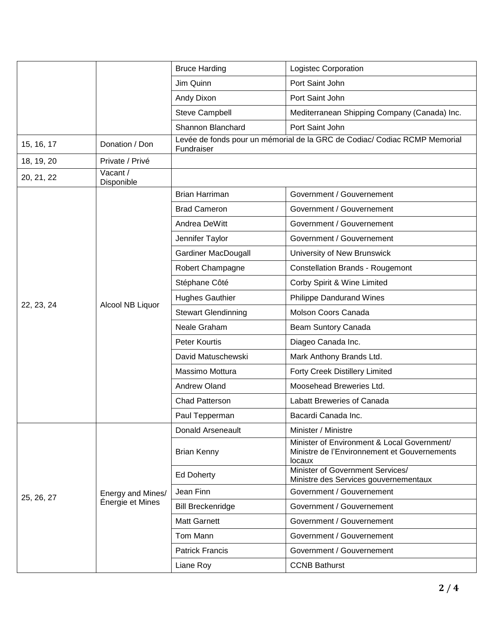|            |                                       | <b>Bruce Harding</b>       | Logistec Corporation                                                                                  |
|------------|---------------------------------------|----------------------------|-------------------------------------------------------------------------------------------------------|
|            |                                       | Jim Quinn                  | Port Saint John                                                                                       |
|            |                                       | Andy Dixon                 | Port Saint John                                                                                       |
|            |                                       | <b>Steve Campbell</b>      | Mediterranean Shipping Company (Canada) Inc.                                                          |
|            |                                       | Shannon Blanchard          | Port Saint John                                                                                       |
| 15, 16, 17 | Donation / Don                        | Fundraiser                 | Levée de fonds pour un mémorial de la GRC de Codiac/ Codiac RCMP Memorial                             |
| 18, 19, 20 | Private / Privé                       |                            |                                                                                                       |
| 20, 21, 22 | Vacant /<br>Disponible                |                            |                                                                                                       |
|            |                                       | <b>Brian Harriman</b>      | Government / Gouvernement                                                                             |
|            |                                       | <b>Brad Cameron</b>        | Government / Gouvernement                                                                             |
|            |                                       | Andrea DeWitt              | Government / Gouvernement                                                                             |
|            |                                       | Jennifer Taylor            | Government / Gouvernement                                                                             |
|            |                                       | Gardiner MacDougall        | University of New Brunswick                                                                           |
|            | Alcool NB Liquor                      | Robert Champagne           | <b>Constellation Brands - Rougemont</b>                                                               |
|            |                                       | Stéphane Côté              | Corby Spirit & Wine Limited                                                                           |
|            |                                       | <b>Hughes Gauthier</b>     | <b>Philippe Dandurand Wines</b>                                                                       |
| 22, 23, 24 |                                       | <b>Stewart Glendinning</b> | Molson Coors Canada                                                                                   |
|            |                                       | Neale Graham               | Beam Suntory Canada                                                                                   |
|            |                                       | Peter Kourtis              | Diageo Canada Inc.                                                                                    |
|            |                                       | David Matuschewski         | Mark Anthony Brands Ltd.                                                                              |
|            |                                       | Massimo Mottura            | <b>Forty Creek Distillery Limited</b>                                                                 |
|            |                                       | Andrew Oland               | Moosehead Breweries Ltd.                                                                              |
|            |                                       | Chad Patterson             | Labatt Breweries of Canada                                                                            |
|            |                                       | Paul Tepperman             | Bacardi Canada Inc.                                                                                   |
| 25, 26, 27 | Energy and Mines/<br>Énergie et Mines | <b>Donald Arseneault</b>   | Minister / Ministre                                                                                   |
|            |                                       | <b>Brian Kenny</b>         | Minister of Environment & Local Government/<br>Ministre de l'Environnement et Gouvernements<br>locaux |
|            |                                       | <b>Ed Doherty</b>          | Minister of Government Services/<br>Ministre des Services gouvernementaux                             |
|            |                                       | Jean Finn                  | Government / Gouvernement                                                                             |
|            |                                       | <b>Bill Breckenridge</b>   | Government / Gouvernement                                                                             |
|            |                                       | <b>Matt Garnett</b>        | Government / Gouvernement                                                                             |
|            |                                       | Tom Mann                   | Government / Gouvernement                                                                             |
|            |                                       | <b>Patrick Francis</b>     | Government / Gouvernement                                                                             |
|            |                                       | Liane Roy                  | <b>CCNB Bathurst</b>                                                                                  |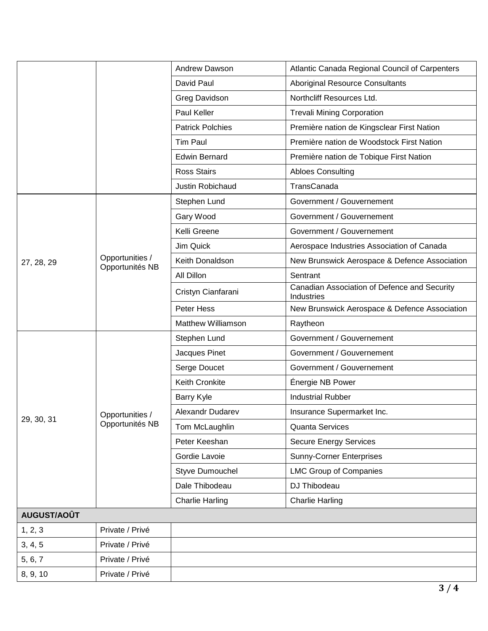|             |                                    | Andrew Dawson             | Atlantic Canada Regional Council of Carpenters             |
|-------------|------------------------------------|---------------------------|------------------------------------------------------------|
|             |                                    | David Paul                | <b>Aboriginal Resource Consultants</b>                     |
|             |                                    | Greg Davidson             | Northcliff Resources Ltd.                                  |
|             |                                    | Paul Keller               | <b>Trevali Mining Corporation</b>                          |
|             |                                    | <b>Patrick Polchies</b>   | Première nation de Kingsclear First Nation                 |
|             |                                    | <b>Tim Paul</b>           | Première nation de Woodstock First Nation                  |
|             |                                    | <b>Edwin Bernard</b>      | Première nation de Tobique First Nation                    |
|             |                                    | <b>Ross Stairs</b>        | <b>Abloes Consulting</b>                                   |
|             |                                    | Justin Robichaud          | TransCanada                                                |
|             |                                    | Stephen Lund              | Government / Gouvernement                                  |
|             |                                    | Gary Wood                 | Government / Gouvernement                                  |
|             |                                    | Kelli Greene              | Government / Gouvernement                                  |
|             |                                    | Jim Quick                 | Aerospace Industries Association of Canada                 |
| 27, 28, 29  | Opportunities /<br>Opportunités NB | Keith Donaldson           | New Brunswick Aerospace & Defence Association              |
|             |                                    | All Dillon                | Sentrant                                                   |
|             |                                    | Cristyn Cianfarani        | Canadian Association of Defence and Security<br>Industries |
|             |                                    | Peter Hess                | New Brunswick Aerospace & Defence Association              |
|             |                                    | <b>Matthew Williamson</b> | Raytheon                                                   |
|             | Opportunities /<br>Opportunités NB | Stephen Lund              | Government / Gouvernement                                  |
|             |                                    | Jacques Pinet             | Government / Gouvernement                                  |
|             |                                    | Serge Doucet              | Government / Gouvernement                                  |
|             |                                    | Keith Cronkite            | Énergie NB Power                                           |
|             |                                    | Barry Kyle                | <b>Industrial Rubber</b>                                   |
| 29, 30, 31  |                                    | Alexandr Dudarev          | Insurance Supermarket Inc.                                 |
|             |                                    | Tom McLaughlin            | <b>Quanta Services</b>                                     |
|             |                                    | Peter Keeshan             | <b>Secure Energy Services</b>                              |
|             |                                    | Gordie Lavoie             | <b>Sunny-Corner Enterprises</b>                            |
|             |                                    | Styve Dumouchel           | <b>LMC Group of Companies</b>                              |
|             |                                    | Dale Thibodeau            | DJ Thibodeau                                               |
|             |                                    | <b>Charlie Harling</b>    | <b>Charlie Harling</b>                                     |
| AUGUST/AOÛT |                                    |                           |                                                            |
| 1, 2, 3     | Private / Privé                    |                           |                                                            |
| 3, 4, 5     | Private / Privé                    |                           |                                                            |
| 5, 6, 7     | Private / Privé                    |                           |                                                            |
| 8, 9, 10    | Private / Privé                    |                           |                                                            |